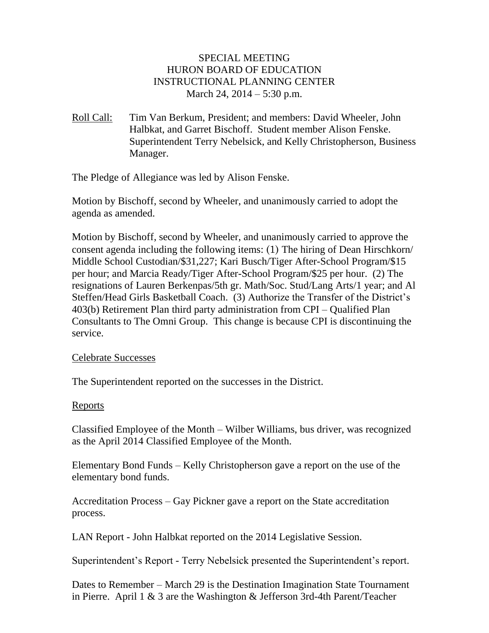## SPECIAL MEETING HURON BOARD OF EDUCATION INSTRUCTIONAL PLANNING CENTER March 24, 2014 – 5:30 p.m.

Roll Call: Tim Van Berkum, President; and members: David Wheeler, John Halbkat, and Garret Bischoff. Student member Alison Fenske. Superintendent Terry Nebelsick, and Kelly Christopherson, Business Manager.

The Pledge of Allegiance was led by Alison Fenske.

Motion by Bischoff, second by Wheeler, and unanimously carried to adopt the agenda as amended.

Motion by Bischoff, second by Wheeler, and unanimously carried to approve the consent agenda including the following items: (1) The hiring of Dean Hirschkorn/ Middle School Custodian/\$31,227; Kari Busch/Tiger After-School Program/\$15 per hour; and Marcia Ready/Tiger After-School Program/\$25 per hour. (2) The resignations of Lauren Berkenpas/5th gr. Math/Soc. Stud/Lang Arts/1 year; and Al Steffen/Head Girls Basketball Coach. (3) Authorize the Transfer of the District's 403(b) Retirement Plan third party administration from CPI – Qualified Plan Consultants to The Omni Group. This change is because CPI is discontinuing the service.

### Celebrate Successes

The Superintendent reported on the successes in the District.

### Reports

Classified Employee of the Month – Wilber Williams, bus driver, was recognized as the April 2014 Classified Employee of the Month.

Elementary Bond Funds – Kelly Christopherson gave a report on the use of the elementary bond funds.

Accreditation Process – Gay Pickner gave a report on the State accreditation process.

LAN Report - John Halbkat reported on the 2014 Legislative Session.

Superintendent's Report - Terry Nebelsick presented the Superintendent's report.

Dates to Remember – March 29 is the Destination Imagination State Tournament in Pierre. April 1 & 3 are the Washington & Jefferson 3rd-4th Parent/Teacher